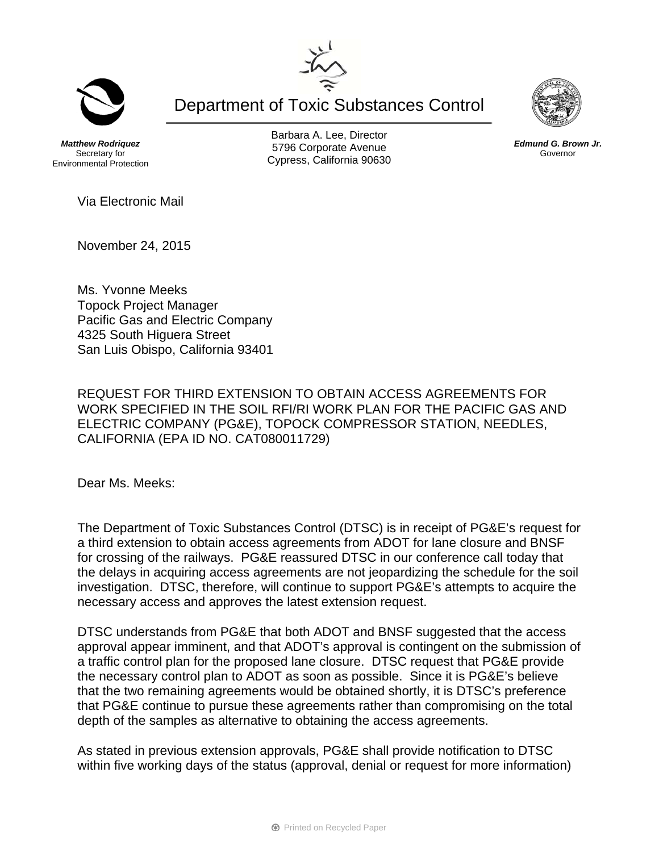Department of Toxic Substances Control

*Matthew Rodriquez*  Secretary for Environmental Protection

Barbara A. Lee, Director 5796 Corporate Avenue Cypress, California 90630

Via Electronic Mail

November 24, 2015

Ms. Yvonne Meeks Topock Project Manager Pacific Gas and Electric Company 4325 South Higuera Street San Luis Obispo, California 93401

REQUEST FOR THIRD EXTENSION TO OBTAIN ACCESS AGREEMENTS FOR WORK SPECIFIED IN THE SOIL RFI/RI WORK PLAN FOR THE PACIFIC GAS AND ELECTRIC COMPANY (PG&E), TOPOCK COMPRESSOR STATION, NEEDLES, CALIFORNIA (EPA ID NO. CAT080011729)

Dear Ms. Meeks:

The Department of Toxic Substances Control (DTSC) is in receipt of PG&E's request for a third extension to obtain access agreements from ADOT for lane closure and BNSF for crossing of the railways. PG&E reassured DTSC in our conference call today that the delays in acquiring access agreements are not jeopardizing the schedule for the soil investigation. DTSC, therefore, will continue to support PG&E's attempts to acquire the necessary access and approves the latest extension request.

DTSC understands from PG&E that both ADOT and BNSF suggested that the access approval appear imminent, and that ADOT's approval is contingent on the submission of a traffic control plan for the proposed lane closure. DTSC request that PG&E provide the necessary control plan to ADOT as soon as possible. Since it is PG&E's believe that the two remaining agreements would be obtained shortly, it is DTSC's preference that PG&E continue to pursue these agreements rather than compromising on the total depth of the samples as alternative to obtaining the access agreements.

As stated in previous extension approvals, PG&E shall provide notification to DTSC within five working days of the status (approval, denial or request for more information)





*Edmund G. Brown Jr.*  Governor